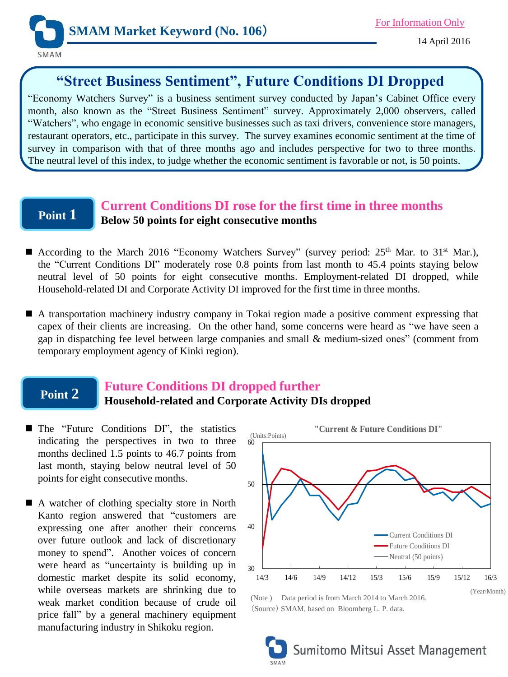

# **"Street Business Sentiment", Future Conditions DI Dropped**

"Economy Watchers Survey" is a business sentiment survey conducted by Japan's Cabinet Office every month, also known as the "Street Business Sentiment" survey. Approximately 2,000 observers, called "Watchers", who engage in economic sensitive businesses such as taxi drivers, convenience store managers, restaurant operators, etc., participate in this survey. The survey examines economic sentiment at the time of survey in comparison with that of three months ago and includes perspective for two to three months. The neutral level of this index, to judge whether the economic sentiment is favorable or not, is 50 points.

## **Point 1**

## **Current Conditions DI rose for the first time in three months Below 50 points for eight consecutive months**

- According to the March 2016 "Economy Watchers Survey" (survey period:  $25<sup>th</sup>$  Mar. to  $31<sup>st</sup>$  Mar.), the "Current Conditions DI" moderately rose 0.8 points from last month to 45.4 points staying below neutral level of 50 points for eight consecutive months. Employment-related DI dropped, while Household-related DI and Corporate Activity DI improved for the first time in three months.
- A transportation machinery industry company in Tokai region made a positive comment expressing that capex of their clients are increasing. On the other hand, some concerns were heard as "we have seen a gap in dispatching fee level between large companies and small & medium-sized ones" (comment from temporary employment agency of Kinki region).

#### **Point 2 Future Conditions DI dropped further Household-related and Corporate Activity DIs dropped**

- The "Future Conditions DI", the statistics indicating the perspectives in two to three months declined 1.5 points to 46.7 points from last month, staying below neutral level of 50 points for eight consecutive months.
- A watcher of clothing specialty store in North Kanto region answered that "customers are expressing one after another their concerns over future outlook and lack of discretionary money to spend". Another voices of concern were heard as "uncertainty is building up in domestic market despite its solid economy, while overseas markets are shrinking due to weak market condition because of crude oil price fall" by a general machinery equipment manufacturing industry in Shikoku region.



(Note ) Data period is from March 2014 to March 2016. (Source) SMAM, based on Bloomberg L. P. data.